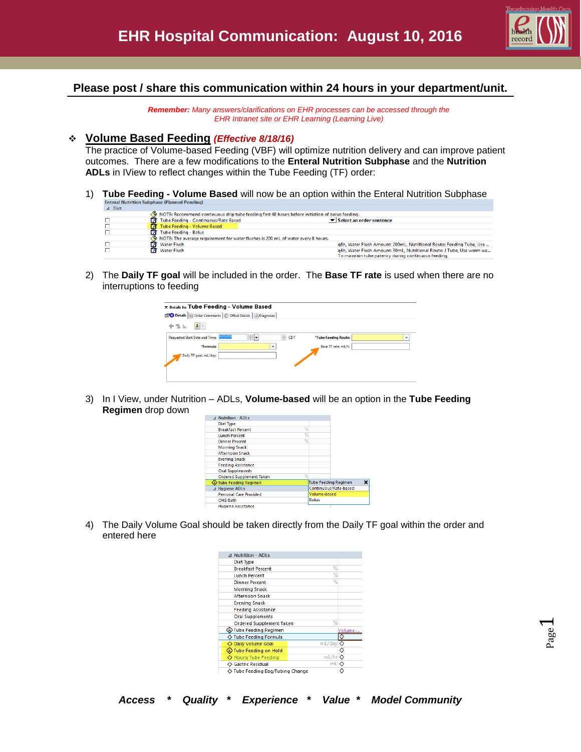

## **Please post / share this communication within 24 hours in your department/unit.**

*Remember: Many answers/clarifications on EHR processes can be accessed through the EHR Intranet site or EHR Learning (Learning Live)*

#### **Volume Based Feeding** *(Effective 8/18/16)*

The practice of Volume-based Feeding (VBF) will optimize nutrition delivery and can improve patient outcomes. There are a few modifications to the **Enteral Nutrition Subphase** and the **Nutrition ADLs** in IView to reflect changes within the Tube Feeding (TF) order:

1) **Tube Feeding - Volume Based** will now be an option within the Enteral Nutrition Subphase

| <b>A</b> DIEL |                                                                                                   |                                                                       |
|---------------|---------------------------------------------------------------------------------------------------|-----------------------------------------------------------------------|
|               | . NOTE: Recommend continuous drip tube feeding first 48 hours before initiation of bolus feeding. |                                                                       |
|               | Tube Feeding - Continuous/Rate Based                                                              | $\blacktriangleright$ Select an order sentence                        |
|               | Tube Feeding - Volume Based                                                                       |                                                                       |
|               | Tube Feeding - Bolus                                                                              |                                                                       |
|               | NOTE: The average requirement for water flushes is 200 mL of water every 8 hours.                 |                                                                       |
|               | Water Flush                                                                                       | a8h, Water Flush Amount: 200mL, Nutritional Route: Feeding Tube, Use  |
|               | <b>X</b> Water Flush                                                                              | g4h, Water Flush Amount: 30mL, Nutritional Route: J Tube, Use warm wa |
|               |                                                                                                   | To maintain tube natency during continuous feeding                    |

2) The **Daily TF goal** will be included in the order. The **Base TF rate** is used when there are no interruptions to feeding

| *Tube Feeding Route: | $\checkmark$ |
|----------------------|--------------|
|                      |              |
|                      |              |
|                      |              |
| Base TF rate; mL/h:  |              |
|                      |              |
|                      |              |
|                      |              |
|                      |              |

3) In I View, under Nutrition – ADLs, **Volume-based** will be an option in the **Tube Feeding Regimen** drop down

| ⊿ Nutrition - ADLs              |   |                       |                             |  |
|---------------------------------|---|-----------------------|-----------------------------|--|
| Diet Type                       |   |                       |                             |  |
| <b>Breakfast Percent</b>        | % |                       |                             |  |
| <b>Lunch Percent</b>            | % |                       |                             |  |
| <b>Dinner Percent</b>           | % |                       |                             |  |
| <b>Morning Snack</b>            |   |                       |                             |  |
| <b>Afternoon Snack</b>          |   |                       |                             |  |
| <b>Evening Snack</b>            |   |                       |                             |  |
| <b>Feeding Assistance</b>       |   |                       |                             |  |
| <b>Oral Supplements</b>         |   |                       |                             |  |
| <b>Ordered Supplement Taken</b> | % |                       |                             |  |
| D Tube Feeding Regimen          |   |                       | <b>Tube Feeding Regimen</b> |  |
| ⊿ Hygiene ADLs                  |   | Continuous/Rate-based |                             |  |
| <b>Personal Care Provided</b>   |   | Volume-based          |                             |  |
| <b>CHG Bath</b>                 |   | <b>Bolus</b>          |                             |  |
| <b>Hygiene Assistance</b>       |   |                       |                             |  |

4) The Daily Volume Goal should be taken directly from the Daily TF goal within the order and entered here

| ⊿ Nutrition - ADLs               |        |         |
|----------------------------------|--------|---------|
| Diet Type                        |        |         |
| <b>Breakfast Percent</b>         | %      |         |
| <b>Lunch Percent</b>             | %      |         |
| <b>Dinner Percent</b>            | %      |         |
| <b>Morning Snack</b>             |        |         |
| <b>Afternoon Snack</b>           |        |         |
| <b>Evening Snack</b>             |        |         |
| <b>Feeding Assistance</b>        |        |         |
| <b>Oral Supplements</b>          |        |         |
| <b>Ordered Supplement Taken</b>  | %      |         |
| <b>Tube Feeding Regimen</b>      |        | Volume- |
| ◇ Tube Feeding Formula           |        | ♦       |
| Daily Volume Goal                | mL/day |         |
| Tube Feeding on Hold             |        | ◇       |
| ◇ Hourly Tube Feeding            | mL/hr  |         |
| ◇ Gastric Residual               | mL O   |         |
| ◇ Tube Feeding Bag/Tubing Change | Ĉ      |         |
|                                  |        |         |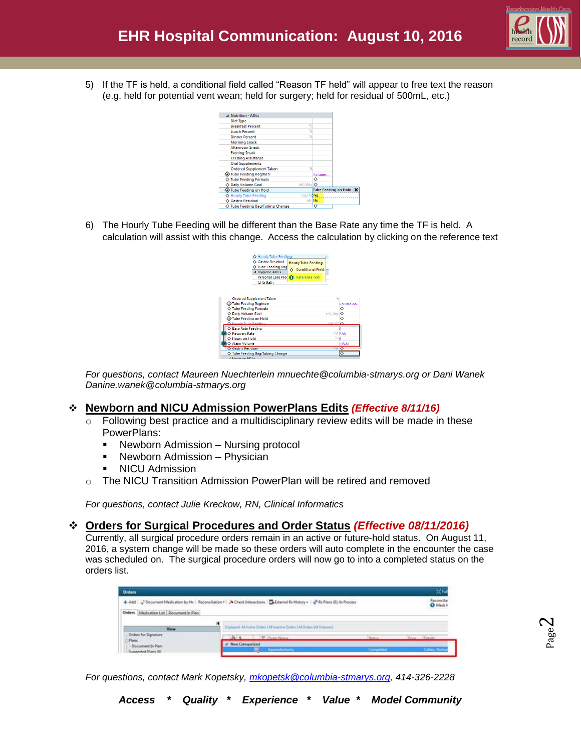

5) If the TF is held, a conditional field called "Reason TF held" will appear to free text the reason (e.g. held for potential vent wean; held for surgery; held for residual of 500mL, etc.)

| ⊿ Nutrition - ADLs               |           |         |                             |  |
|----------------------------------|-----------|---------|-----------------------------|--|
| Diet Type                        |           |         |                             |  |
| <b>Breakfast Percent</b>         | %         |         |                             |  |
| <b>Lunch Percent</b>             | %         |         |                             |  |
| <b>Dinner Percent</b>            | %         |         |                             |  |
| <b>Morning Snack</b>             |           |         |                             |  |
| <b>Afternoon Snack</b>           |           |         |                             |  |
| <b>Evening Snack</b>             |           |         |                             |  |
| <b>Feeding Assistance</b>        |           |         |                             |  |
| <b>Oral Supplements</b>          |           |         |                             |  |
| <b>Ordered Supplement Taken</b>  | %         |         |                             |  |
| <b>Tube Feeding Regimen</b>      |           | Volume- |                             |  |
| ◇ Tube Feeding Formula           |           | ◇       |                             |  |
| <b>Daily Volume Goal</b>         | mL/dav    | ◇       |                             |  |
| ⊕Tube Feeding on Hold            |           |         | <b>Tube Feeding on Hold</b> |  |
| <b>Hourly Tube Feeding</b>       | ml/hrives |         |                             |  |
| <b>Gastric Residual</b>          | mLINo     |         |                             |  |
| ○ Tube Feeding Bag/Tubing Change |           | ◇       |                             |  |

6) The Hourly Tube Feeding will be different than the Base Rate any time the TF is held. A calculation will assist with this change. Access the calculation by clicking on the reference text

|                                  | ◇ Hourly Tube Feeding           |                               | m                          |            |
|----------------------------------|---------------------------------|-------------------------------|----------------------------|------------|
|                                  | ◇ Gastric Residual              | <b>Hourly Tube Feeding</b>    |                            |            |
|                                  | ◇ Tube Feeding Bag              | <b>Conditional Field</b><br>δ |                            |            |
|                                  | ⊿ Hygiene ADLs                  |                               |                            |            |
|                                  | <b>Personal Care Prov</b>       | <b>Reference Text</b><br>A    |                            |            |
|                                  | <b>CHG Bath</b>                 |                               |                            |            |
|                                  |                                 |                               |                            |            |
|                                  |                                 |                               |                            |            |
|                                  |                                 |                               | $\mathcal{H}_{\mathsf{N}}$ |            |
|                                  | <b>Ordered Supplement Taken</b> |                               |                            |            |
| ↔ Tube Feeding Regimen           |                                 |                               |                            | Volume-ba. |
| <b>Tube Feeding Formula</b>      |                                 |                               | ◇                          |            |
| <b>Daily Volume Goal</b>         |                                 |                               | mL/davi O                  |            |
| D Tube Feeding on Hold           |                                 |                               | ◇                          |            |
| A Hourly Tube Feeding            |                                 |                               | $ml/hr$ $\Diamond$         |            |
| <b>Base Rate Feeding</b>         |                                 |                               |                            |            |
| м<br><b>◇ Recovery Rate</b>      |                                 |                               | mL7.98                     |            |
| <b>Hours on Hold</b>             |                                 |                               | hris                       |            |
| <b>Alarm Volume</b>              |                                 |                               |                            | 143.64     |
| <b>Gastric Residual</b>          |                                 |                               | $mL$ $Q$                   |            |
| ◇ Tube Feeding Bag/Tubing Change |                                 |                               | ∣◇                         |            |

*For questions, contact Maureen Nuechterlein mnuechte@columbia-stmarys.org or Dani Wanek Danine.wanek@columbia-stmarys.org*

### **Newborn and NICU Admission PowerPlans Edits** *(Effective 8/11/16)*

- $\circ$  Following best practice and a multidisciplinary review edits will be made in these PowerPlans:
	- Newborn Admission Nursing protocol
	- **Newborn Admission Physician**
	- **NICU Admission**
- $\circ$  The NICU Transition Admission PowerPlan will be retired and removed

*For questions, contact Julie Kreckow, RN, Clinical Informatics*

### **Orders for Surgical Procedures and Order Status** *(Effective 08/11/2016)*

Currently, all surgical procedure orders remain in an active or future-hold status. On August 11, 2016, a system change will be made so these orders will auto complete in the encounter the case was scheduled on. The surgical procedure orders will now go to into a completed status on the orders list.

| Orders                                   |                                                                                                                                       |         |                              |
|------------------------------------------|---------------------------------------------------------------------------------------------------------------------------------------|---------|------------------------------|
|                                          | + Add   a Document Medication by He   Reconciliation -   A Check Interactions   Ea External Rx History -   a Rx Plans (0): In Process |         | Reconcilia<br><b>O</b> Meds? |
| Orders Medication List Document In Plan  |                                                                                                                                       |         |                              |
| View                                     | Displayed: All Active Orders Ltd Inscrive Orders Ltd Orders (All Statuser).                                                           |         |                              |
| Orders for Signature<br><b>Plans</b>     | <b>DP</b> Clevelan Names                                                                                                              | Status. | Plaza Platade                |
| Document In Plan<br>Sunnerhed Plane (f)) | <b>Non Categorized</b><br>Appendectomy                                                                                                | Comple  |                              |

*For questions, contact Mark Kopetsky, [mkopetsk@columbia-stmarys.org,](mailto:mkopetsk@columbia-stmarys.org) 414-326-2228*

 $\boldsymbol{\sim}$ 

*Access \* Quality \* Experience \* Value \* Model Community*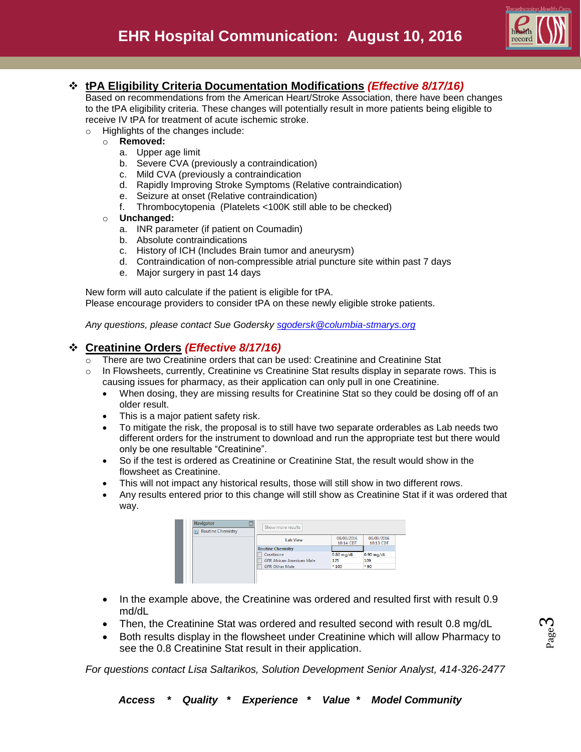

# **tPA Eligibility Criteria Documentation Modifications** *(Effective 8/17/16)*

Based on recommendations from the American Heart/Stroke Association, there have been changes to the tPA eligibility criteria. These changes will potentially result in more patients being eligible to receive IV tPA for treatment of acute ischemic stroke.

- o Highlights of the changes include:
	- o **Removed:** 
		- a. Upper age limit
		- b. Severe CVA (previously a contraindication)
		- c. Mild CVA (previously a contraindication
		- d. Rapidly Improving Stroke Symptoms (Relative contraindication)
		- e. Seizure at onset (Relative contraindication)
		- f. Thrombocytopenia (Platelets <100K still able to be checked)
	- o **Unchanged:** 
		- a. INR parameter (if patient on Coumadin)
		- b. Absolute contraindications
		- c. History of ICH (Includes Brain tumor and aneurysm)
		- d. Contraindication of non-compressible atrial puncture site within past 7 days
		- e. Major surgery in past 14 days

New form will auto calculate if the patient is eligible for tPA. Please encourage providers to consider tPA on these newly eligible stroke patients.

*Any questions, please contact Sue Godersky [sgodersk@columbia-stmarys.org](mailto:sgodersk@columbia-stmarys.org)*

## **Creatinine Orders** *(Effective 8/17/16)*

- There are two Creatinine orders that can be used: Creatinine and Creatinine Stat
- $\circ$  In Flowsheets, currently, Creatinine vs Creatinine Stat results display in separate rows. This is causing issues for pharmacy, as their application can only pull in one Creatinine.
	- When dosing, they are missing results for Creatinine Stat so they could be dosing off of an older result.
	- This is a major patient safety risk.
	- To mitigate the risk, the proposal is to still have two separate orderables as Lab needs two different orders for the instrument to download and run the appropriate test but there would only be one resultable "Creatinine".
	- So if the test is ordered as Creatinine or Creatinine Stat, the result would show in the flowsheet as Creatinine.
	- This will not impact any historical results, those will still show in two different rows.
	- Any results entered prior to this change will still show as Creatinine Stat if it was ordered that way.

| <b>Navigator</b>  | E<br>Show more results           |              |              |
|-------------------|----------------------------------|--------------|--------------|
| Routine Chemistry |                                  |              |              |
|                   | <b>Lab View</b>                  | 08/08/2016   | 08/08/2016   |
|                   |                                  | 10:14 CDT    | 10:13 CDT    |
|                   | <b>Routine Chemistry</b>         |              |              |
|                   | Creatinine                       | $0.80$ mg/dL | $0.90$ mg/dL |
|                   | <b>GFR African American Male</b> | 125          | 109          |
|                   | <b>GFR Other Male</b>            | $*103$       | $*90$        |

- In the example above, the Creatinine was ordered and resulted first with result 0.9 md/dL
- Then, the Creatinine Stat was ordered and resulted second with result 0.8 mg/dL
- Both results display in the flowsheet under Creatinine which will allow Pharmacy to see the 0.8 Creatinine Stat result in their application.

*For questions contact Lisa Saltarikos, Solution Development Senior Analyst, 414-326-2477*